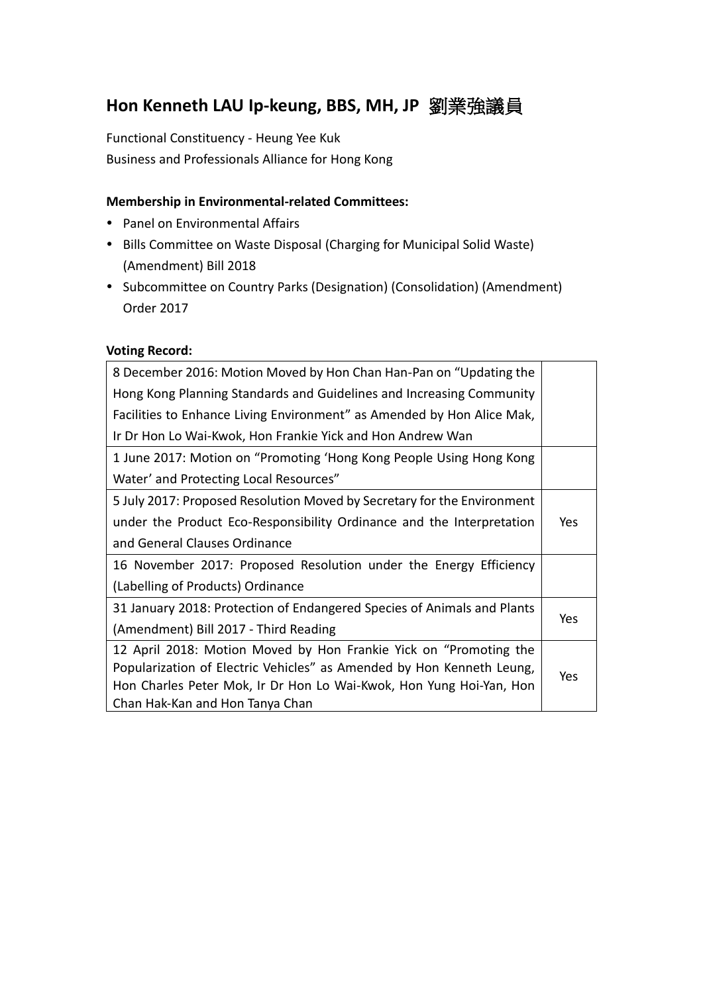# **Hon Kenneth LAU Ip-keung, BBS, MH, JP** 劉業強議員

Functional Constituency - Heung Yee Kuk Business and Professionals Alliance for Hong Kong

### **Membership in Environmental-related Committees:**

- Panel on Environmental Affairs
- Bills Committee on Waste Disposal (Charging for Municipal Solid Waste) (Amendment) Bill 2018
- Subcommittee on Country Parks (Designation) (Consolidation) (Amendment) Order 2017

#### **Voting Record:**

| 8 December 2016: Motion Moved by Hon Chan Han-Pan on "Updating the      |     |
|-------------------------------------------------------------------------|-----|
| Hong Kong Planning Standards and Guidelines and Increasing Community    |     |
| Facilities to Enhance Living Environment" as Amended by Hon Alice Mak,  |     |
| Ir Dr Hon Lo Wai-Kwok, Hon Frankie Yick and Hon Andrew Wan              |     |
| 1 June 2017: Motion on "Promoting 'Hong Kong People Using Hong Kong     |     |
| Water' and Protecting Local Resources"                                  |     |
| 5 July 2017: Proposed Resolution Moved by Secretary for the Environment |     |
| under the Product Eco-Responsibility Ordinance and the Interpretation   | Yes |
| and General Clauses Ordinance                                           |     |
| 16 November 2017: Proposed Resolution under the Energy Efficiency       |     |
| (Labelling of Products) Ordinance                                       |     |
| 31 January 2018: Protection of Endangered Species of Animals and Plants |     |
| (Amendment) Bill 2017 - Third Reading                                   | Yes |
| 12 April 2018: Motion Moved by Hon Frankie Yick on "Promoting the       |     |
| Popularization of Electric Vehicles" as Amended by Hon Kenneth Leung,   | Yes |
| Hon Charles Peter Mok, Ir Dr Hon Lo Wai-Kwok, Hon Yung Hoi-Yan, Hon     |     |
| Chan Hak-Kan and Hon Tanya Chan                                         |     |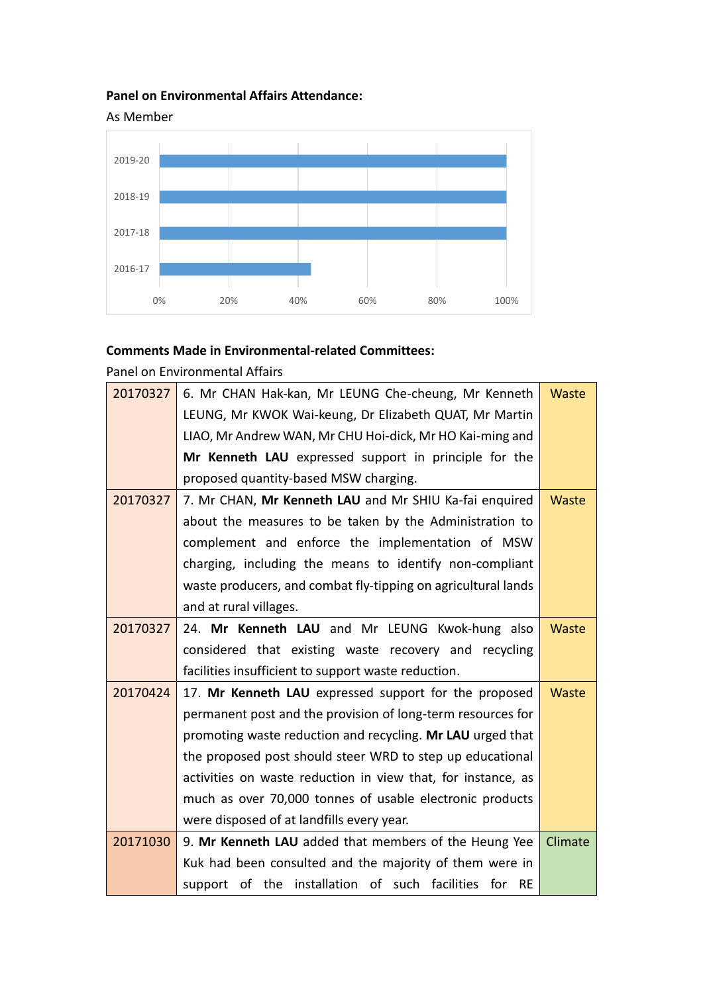## **Panel on Environmental Affairs Attendance:**



#### **Comments Made in Environmental-related Committees:**

Panel on Environmental Affairs

| 20170327 | 6. Mr CHAN Hak-kan, Mr LEUNG Che-cheung, Mr Kenneth           | <b>Waste</b> |
|----------|---------------------------------------------------------------|--------------|
|          | LEUNG, Mr KWOK Wai-keung, Dr Elizabeth QUAT, Mr Martin        |              |
|          | LIAO, Mr Andrew WAN, Mr CHU Hoi-dick, Mr HO Kai-ming and      |              |
|          | Mr Kenneth LAU expressed support in principle for the         |              |
|          | proposed quantity-based MSW charging.                         |              |
| 20170327 | 7. Mr CHAN, Mr Kenneth LAU and Mr SHIU Ka-fai enquired        | <b>Waste</b> |
|          | about the measures to be taken by the Administration to       |              |
|          | complement and enforce the implementation of MSW              |              |
|          | charging, including the means to identify non-compliant       |              |
|          | waste producers, and combat fly-tipping on agricultural lands |              |
|          | and at rural villages.                                        |              |
| 20170327 | 24. Mr Kenneth LAU and Mr LEUNG Kwok-hung also                | <b>Waste</b> |
|          | considered that existing waste recovery and recycling         |              |
|          | facilities insufficient to support waste reduction.           |              |
| 20170424 | 17. Mr Kenneth LAU expressed support for the proposed         | <b>Waste</b> |
|          | permanent post and the provision of long-term resources for   |              |
|          | promoting waste reduction and recycling. Mr LAU urged that    |              |
|          | the proposed post should steer WRD to step up educational     |              |
|          | activities on waste reduction in view that, for instance, as  |              |
|          | much as over 70,000 tonnes of usable electronic products      |              |
|          | were disposed of at landfills every year.                     |              |
| 20171030 | 9. Mr Kenneth LAU added that members of the Heung Yee         | Climate      |
|          | Kuk had been consulted and the majority of them were in       |              |
|          | support of the installation of such facilities<br>for RE      |              |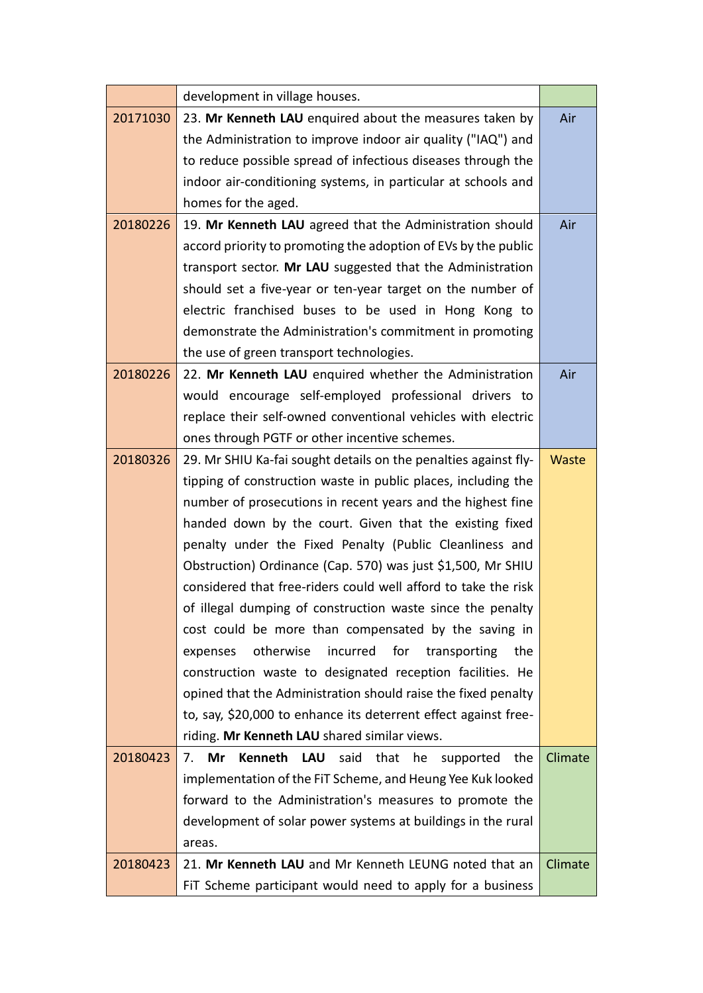|          | development in village houses.                                                     |              |
|----------|------------------------------------------------------------------------------------|--------------|
| 20171030 | 23. Mr Kenneth LAU enquired about the measures taken by                            | Air          |
|          | the Administration to improve indoor air quality ("IAQ") and                       |              |
|          | to reduce possible spread of infectious diseases through the                       |              |
|          | indoor air-conditioning systems, in particular at schools and                      |              |
|          | homes for the aged.                                                                |              |
| 20180226 | 19. Mr Kenneth LAU agreed that the Administration should                           | Air          |
|          | accord priority to promoting the adoption of EVs by the public                     |              |
|          | transport sector. Mr LAU suggested that the Administration                         |              |
|          | should set a five-year or ten-year target on the number of                         |              |
|          | electric franchised buses to be used in Hong Kong to                               |              |
|          | demonstrate the Administration's commitment in promoting                           |              |
|          | the use of green transport technologies.                                           |              |
| 20180226 | 22. Mr Kenneth LAU enquired whether the Administration                             | Air          |
|          | would encourage self-employed professional drivers to                              |              |
|          | replace their self-owned conventional vehicles with electric                       |              |
|          | ones through PGTF or other incentive schemes.                                      |              |
| 20180326 | 29. Mr SHIU Ka-fai sought details on the penalties against fly-                    | <b>Waste</b> |
|          | tipping of construction waste in public places, including the                      |              |
|          | number of prosecutions in recent years and the highest fine                        |              |
|          | handed down by the court. Given that the existing fixed                            |              |
|          | penalty under the Fixed Penalty (Public Cleanliness and                            |              |
|          | Obstruction) Ordinance (Cap. 570) was just \$1,500, Mr SHIU                        |              |
|          | considered that free-riders could well afford to take the risk                     |              |
|          | of illegal dumping of construction waste since the penalty                         |              |
|          | cost could be more than compensated by the saving in                               |              |
|          | incurred<br>otherwise<br>for<br>transporting<br>the<br>expenses                    |              |
|          | construction waste to designated reception facilities. He                          |              |
|          | opined that the Administration should raise the fixed penalty                      |              |
|          | to, say, \$20,000 to enhance its deterrent effect against free-                    |              |
|          | riding. Mr Kenneth LAU shared similar views.                                       |              |
| 20180423 | <b>Kenneth</b><br><b>LAU</b><br>said<br>Mr<br>that<br>he<br>the<br>7.<br>supported | Climate      |
|          | implementation of the FiT Scheme, and Heung Yee Kuk looked                         |              |
|          | forward to the Administration's measures to promote the                            |              |
|          | development of solar power systems at buildings in the rural                       |              |
|          | areas.                                                                             |              |
| 20180423 | 21. Mr Kenneth LAU and Mr Kenneth LEUNG noted that an                              | Climate      |
|          | FIT Scheme participant would need to apply for a business                          |              |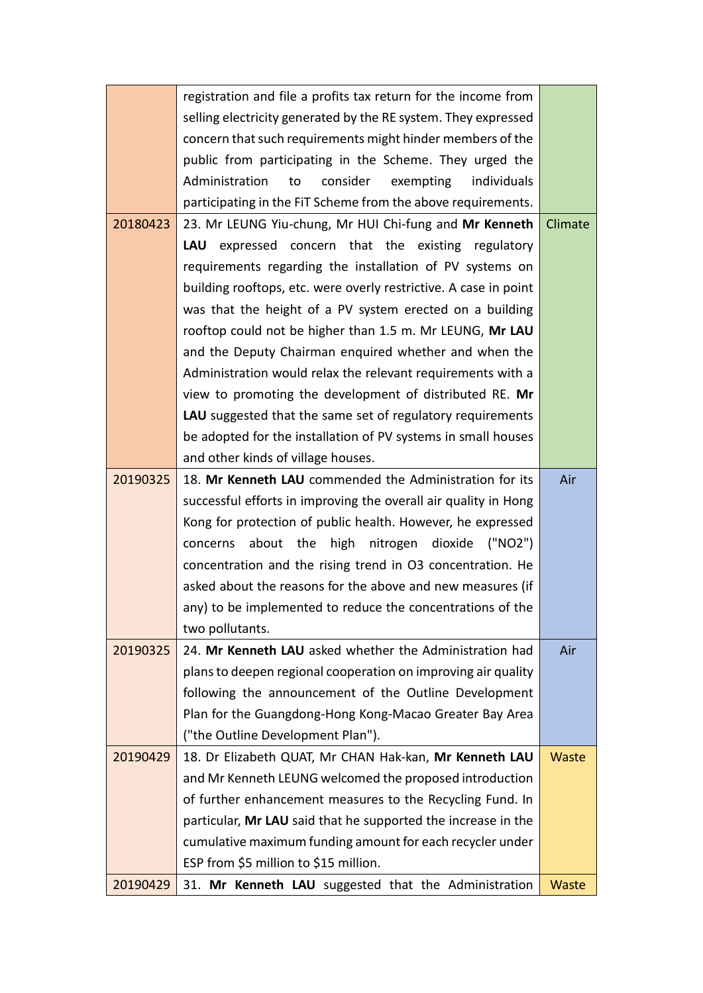|          | registration and file a profits tax return for the income from    |         |
|----------|-------------------------------------------------------------------|---------|
|          | selling electricity generated by the RE system. They expressed    |         |
|          | concern that such requirements might hinder members of the        |         |
|          | public from participating in the Scheme. They urged the           |         |
|          | Administration<br>consider<br>exempting<br>to<br>individuals      |         |
|          | participating in the FiT Scheme from the above requirements.      |         |
| 20180423 | 23. Mr LEUNG Yiu-chung, Mr HUI Chi-fung and Mr Kenneth            | Climate |
|          | LAU expressed concern that the existing regulatory                |         |
|          | requirements regarding the installation of PV systems on          |         |
|          | building rooftops, etc. were overly restrictive. A case in point  |         |
|          | was that the height of a PV system erected on a building          |         |
|          | rooftop could not be higher than 1.5 m. Mr LEUNG, Mr LAU          |         |
|          | and the Deputy Chairman enquired whether and when the             |         |
|          | Administration would relax the relevant requirements with a       |         |
|          | view to promoting the development of distributed RE. Mr           |         |
|          | <b>LAU</b> suggested that the same set of regulatory requirements |         |
|          | be adopted for the installation of PV systems in small houses     |         |
|          | and other kinds of village houses.                                |         |
| 20190325 | 18. Mr Kenneth LAU commended the Administration for its           | Air     |
|          | successful efforts in improving the overall air quality in Hong   |         |
|          | Kong for protection of public health. However, he expressed       |         |
|          | about the high nitrogen dioxide ("NO2")<br>concerns               |         |
|          | concentration and the rising trend in O3 concentration. He        |         |
|          | asked about the reasons for the above and new measures (if        |         |
|          | any) to be implemented to reduce the concentrations of the        |         |
|          | two pollutants.                                                   |         |
| 20190325 | 24. Mr Kenneth LAU asked whether the Administration had           | Air     |
|          | plans to deepen regional cooperation on improving air quality     |         |
|          | following the announcement of the Outline Development             |         |
|          | Plan for the Guangdong-Hong Kong-Macao Greater Bay Area           |         |
|          | ("the Outline Development Plan").                                 |         |
| 20190429 | 18. Dr Elizabeth QUAT, Mr CHAN Hak-kan, Mr Kenneth LAU            | Waste   |
|          | and Mr Kenneth LEUNG welcomed the proposed introduction           |         |
|          | of further enhancement measures to the Recycling Fund. In         |         |
|          | particular, Mr LAU said that he supported the increase in the     |         |
|          | cumulative maximum funding amount for each recycler under         |         |
|          | ESP from \$5 million to \$15 million.                             |         |
| 20190429 | 31. Mr Kenneth LAU suggested that the Administration              | Waste   |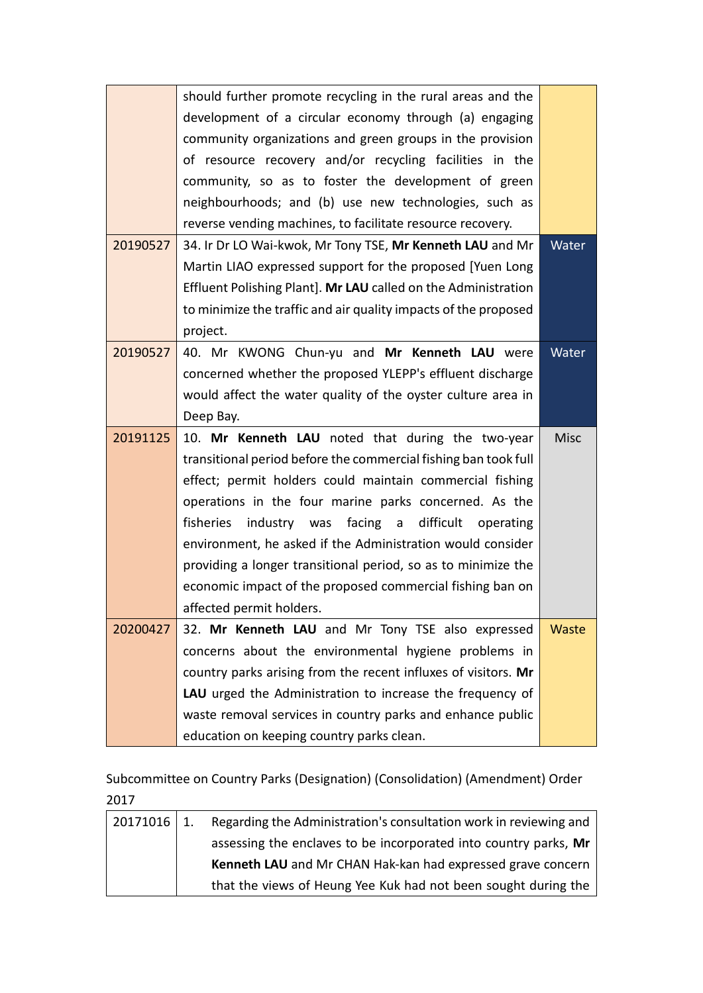|          | should further promote recycling in the rural areas and the     |             |
|----------|-----------------------------------------------------------------|-------------|
|          | development of a circular economy through (a) engaging          |             |
|          | community organizations and green groups in the provision       |             |
|          | of resource recovery and/or recycling facilities in the         |             |
|          | community, so as to foster the development of green             |             |
|          | neighbourhoods; and (b) use new technologies, such as           |             |
|          | reverse vending machines, to facilitate resource recovery.      |             |
| 20190527 | 34. Ir Dr LO Wai-kwok, Mr Tony TSE, Mr Kenneth LAU and Mr       | Water       |
|          | Martin LIAO expressed support for the proposed [Yuen Long]      |             |
|          | Effluent Polishing Plant]. Mr LAU called on the Administration  |             |
|          | to minimize the traffic and air quality impacts of the proposed |             |
|          | project.                                                        |             |
| 20190527 | 40. Mr KWONG Chun-yu and Mr Kenneth LAU were                    | Water       |
|          | concerned whether the proposed YLEPP's effluent discharge       |             |
|          | would affect the water quality of the oyster culture area in    |             |
|          | Deep Bay.                                                       |             |
| 20191125 | 10. Mr Kenneth LAU noted that during the two-year               | <b>Misc</b> |
|          | transitional period before the commercial fishing ban took full |             |
|          | effect; permit holders could maintain commercial fishing        |             |
|          | operations in the four marine parks concerned. As the           |             |
|          | fisheries<br>industry was<br>facing a<br>difficult<br>operating |             |
|          | environment, he asked if the Administration would consider      |             |
|          | providing a longer transitional period, so as to minimize the   |             |
|          | economic impact of the proposed commercial fishing ban on       |             |
|          | affected permit holders.                                        |             |
| 20200427 |                                                                 |             |
|          | 32. Mr Kenneth LAU and Mr Tony TSE also expressed               | Waste       |
|          | concerns about the environmental hygiene problems in            |             |
|          | country parks arising from the recent influxes of visitors. Mr  |             |
|          | LAU urged the Administration to increase the frequency of       |             |
|          | waste removal services in country parks and enhance public      |             |

Subcommittee on Country Parks (Designation) (Consolidation) (Amendment) Order 2017

| $20171016$   1. | Regarding the Administration's consultation work in reviewing and |
|-----------------|-------------------------------------------------------------------|
|                 | assessing the enclaves to be incorporated into country parks, Mr  |
|                 | Kenneth LAU and Mr CHAN Hak-kan had expressed grave concern       |
|                 | that the views of Heung Yee Kuk had not been sought during the    |